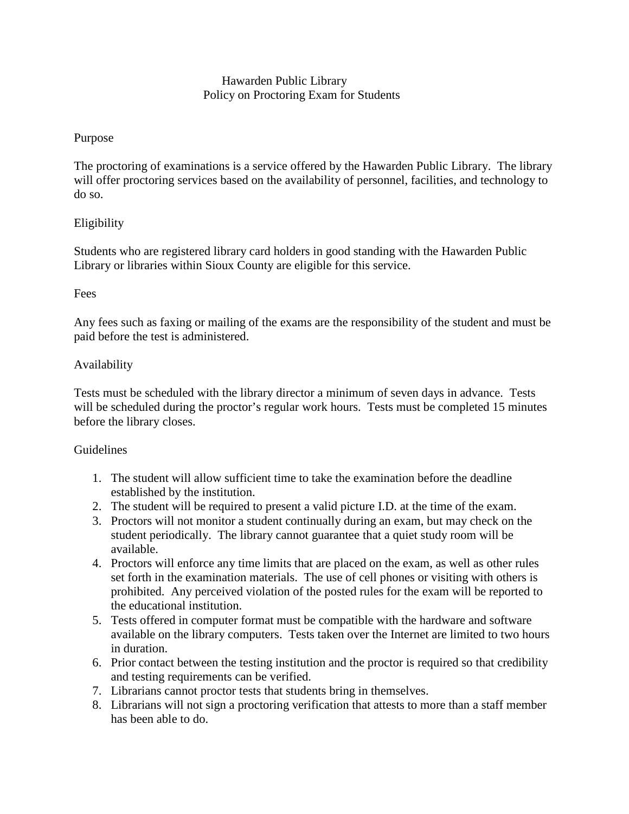# Hawarden Public Library Policy on Proctoring Exam for Students

# Purpose

The proctoring of examinations is a service offered by the Hawarden Public Library. The library will offer proctoring services based on the availability of personnel, facilities, and technology to do so.

## Eligibility

Students who are registered library card holders in good standing with the Hawarden Public Library or libraries within Sioux County are eligible for this service.

#### Fees

Any fees such as faxing or mailing of the exams are the responsibility of the student and must be paid before the test is administered.

## Availability

Tests must be scheduled with the library director a minimum of seven days in advance. Tests will be scheduled during the proctor's regular work hours. Tests must be completed 15 minutes before the library closes.

#### **Guidelines**

- 1. The student will allow sufficient time to take the examination before the deadline established by the institution.
- 2. The student will be required to present a valid picture I.D. at the time of the exam.
- 3. Proctors will not monitor a student continually during an exam, but may check on the student periodically. The library cannot guarantee that a quiet study room will be available.
- 4. Proctors will enforce any time limits that are placed on the exam, as well as other rules set forth in the examination materials. The use of cell phones or visiting with others is prohibited. Any perceived violation of the posted rules for the exam will be reported to the educational institution.
- 5. Tests offered in computer format must be compatible with the hardware and software available on the library computers. Tests taken over the Internet are limited to two hours in duration.
- 6. Prior contact between the testing institution and the proctor is required so that credibility and testing requirements can be verified.
- 7. Librarians cannot proctor tests that students bring in themselves.
- 8. Librarians will not sign a proctoring verification that attests to more than a staff member has been able to do.